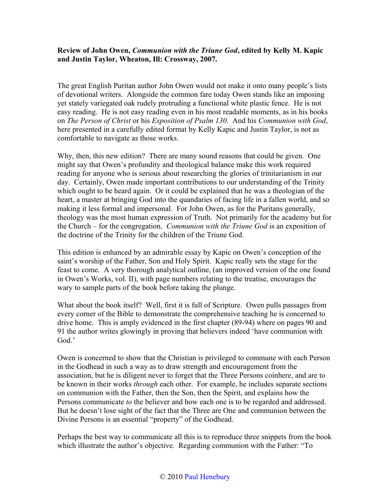## **Review of John Owen,** *Communion with the Triune God***, edited by Kelly M. Kapic and Justin Taylor, Wheaton, Ill: Crossway, 2007.**

The great English Puritan author John Owen would not make it onto many people's lists of devotional writers. Alongside the common fare today Owen stands like an imposing yet stately variegated oak rudely protruding a functional white plastic fence. He is not easy reading. He is not easy reading even in his most readable moments, as in his books on *The Person of Christ* or his *Exposition of Psalm 130.* And his *Communion with God*, here presented in a carefully edited format by Kelly Kapic and Justin Taylor, is not as comfortable to navigate as those works.

Why, then, this new edition? There are many sound reasons that could be given. One might say that Owen's profundity and theological balance make this work required reading for anyone who is serious about researching the glories of trinitarianism in our day. Certainly, Owen made important contributions to our understanding of the Trinity which ought to be heard again. Or it could be explained that he was a theologian of the heart, a master at bringing God into the quandaries of facing life in a fallen world, and so making it less formal and impersonal. For John Owen, as for the Puritans generally, theology was the most human expression of Truth. Not primarily for the academy but for the Church – for the congregation. *Communion with the Triune God* is an exposition of the doctrine of the Trinity for the children of the Triune God.

This edition is enhanced by an admirable essay by Kapic on Owen's conception of the saint's worship of the Father, Son and Holy Spirit. Kapic really sets the stage for the feast to come. A very thorough analytical outline, (an improved version of the one found in Owen's Works, vol. II), with page numbers relating to the treatise, encourages the wary to sample parts of the book before taking the plunge.

What about the book itself? Well, first it is full of Scripture. Owen pulls passages from every corner of the Bible to demonstrate the comprehensive teaching he is concerned to drive home. This is amply evidenced in the first chapter (89-94) where on pages 90 and 91 the author writes glowingly in proving that believers indeed 'have communion with God.'

Owen is concerned to show that the Christian is privileged to commune with each Person in the Godhead in such a way as to draw strength and encouragement from the association, but he is diligent never to forget that the Three Persons coinhere, and are to be known in their works *through* each other. For example, he includes separate sections on communion with the Father, then the Son, then the Spirit, and explains how the Persons communicate *to* the believer and how each one is to be regarded and addressed. But he doesn't lose sight of the fact that the Three are One and communion between the Divine Persons is an essential "property" of the Godhead.

Perhaps the best way to communicate all this is to reproduce three snippets from the book which illustrate the author's objective. Regarding communion with the Father: "To